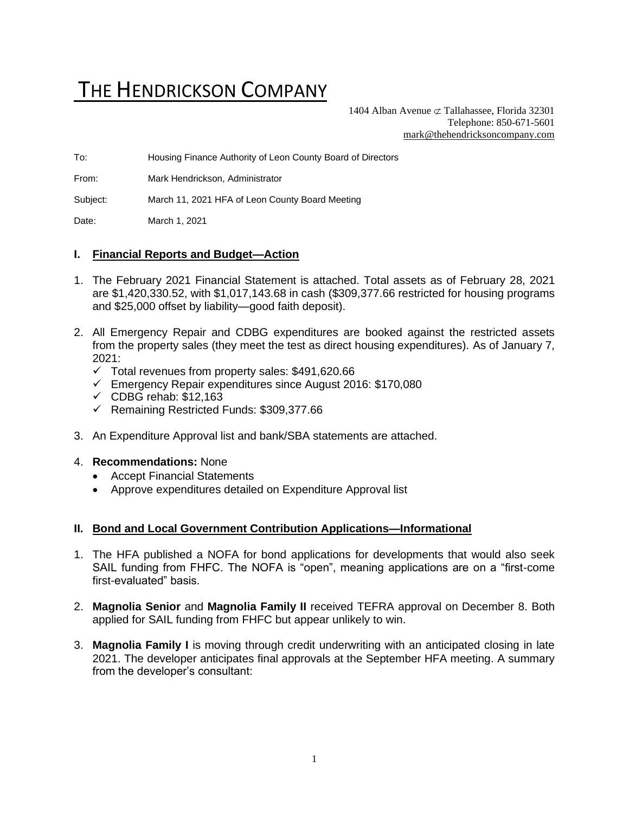# THE HENDRICKSON COMPANY

1404 Alban Avenue  $\sigma$  Tallahassee, Florida 32301 Telephone: 850-671-5601 [mark@thehendricksoncompany.com](mailto:mark@thehendricksoncompany.com)

To: Housing Finance Authority of Leon County Board of Directors

From: Mark Hendrickson, Administrator

Subject: March 11, 2021 HFA of Leon County Board Meeting

Date: March 1, 2021

### **I. Financial Reports and Budget—Action**

- 1. The February 2021 Financial Statement is attached. Total assets as of February 28, 2021 are \$1,420,330.52, with \$1,017,143.68 in cash (\$309,377.66 restricted for housing programs and \$25,000 offset by liability—good faith deposit).
- 2. All Emergency Repair and CDBG expenditures are booked against the restricted assets from the property sales (they meet the test as direct housing expenditures). As of January 7,  $2021$ 
	- $\checkmark$  Total revenues from property sales: \$491,620.66
	- ✓ Emergency Repair expenditures since August 2016: \$170,080
	- $\checkmark$  CDBG rehab: \$12,163
	- ✓ Remaining Restricted Funds: \$309,377.66
- 3. An Expenditure Approval list and bank/SBA statements are attached.

### 4. **Recommendations:** None

- Accept Financial Statements
- Approve expenditures detailed on Expenditure Approval list

#### **II. Bond and Local Government Contribution Applications—Informational**

- 1. The HFA published a NOFA for bond applications for developments that would also seek SAIL funding from FHFC. The NOFA is "open", meaning applications are on a "first-come first-evaluated" basis.
- 2. **Magnolia Senior** and **Magnolia Family II** received TEFRA approval on December 8. Both applied for SAIL funding from FHFC but appear unlikely to win.
- 3. **Magnolia Family I** is moving through credit underwriting with an anticipated closing in late 2021. The developer anticipates final approvals at the September HFA meeting. A summary from the developer's consultant: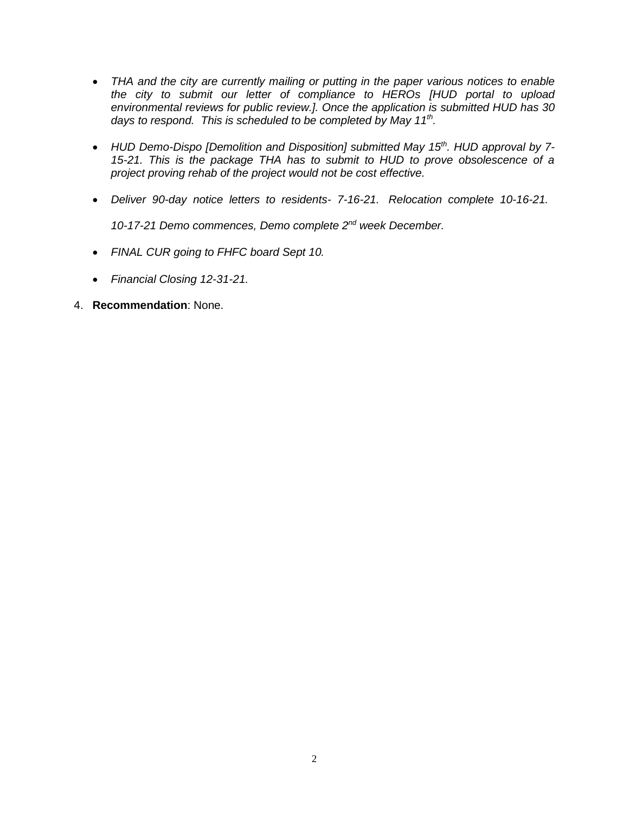- *THA and the city are currently mailing or putting in the paper various notices to enable the city to submit our letter of compliance to HEROs [HUD portal to upload environmental reviews for public review.]. Once the application is submitted HUD has 30 days to respond. This is scheduled to be completed by May 11th .*
- *HUD Demo-Dispo [Demolition and Disposition] submitted May 15th . HUD approval by 7- 15-21. This is the package THA has to submit to HUD to prove obsolescence of a project proving rehab of the project would not be cost effective.*
- *Deliver 90-day notice letters to residents- 7-16-21. Relocation complete 10-16-21. 10-17-21 Demo commences, Demo complete 2nd week December.*
- *FINAL CUR going to FHFC board Sept 10.*
- *Financial Closing 12-31-21.*

# 4. **Recommendation**: None.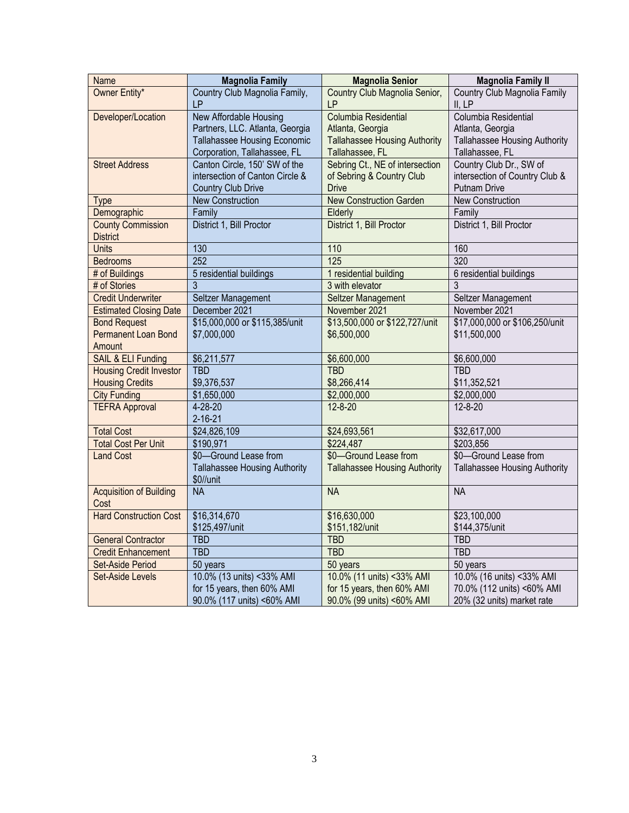| Name                           | <b>Magnolia Family</b>               | <b>Magnolia Senior</b>               | <b>Magnolia Family II</b>            |  |
|--------------------------------|--------------------------------------|--------------------------------------|--------------------------------------|--|
| Owner Entity*                  | Country Club Magnolia Family,        | Country Club Magnolia Senior,        | Country Club Magnolia Family         |  |
|                                | <b>LP</b>                            | LP                                   | II, LP                               |  |
| Developer/Location             | New Affordable Housing               | Columbia Residential                 | Columbia Residential                 |  |
|                                | Partners, LLC. Atlanta, Georgia      | Atlanta, Georgia                     | Atlanta, Georgia                     |  |
|                                | Tallahassee Housing Economic         | <b>Tallahassee Housing Authority</b> | Tallahassee Housing Authority        |  |
|                                | Corporation, Tallahassee, FL         | Tallahassee, FL                      | Tallahassee, FL                      |  |
| <b>Street Address</b>          | Canton Circle, 150' SW of the        | Sebring Ct., NE of intersection      | Country Club Dr., SW of              |  |
|                                | intersection of Canton Circle &      | of Sebring & Country Club            | intersection of Country Club &       |  |
|                                | <b>Country Club Drive</b>            | <b>Drive</b>                         | <b>Putnam Drive</b>                  |  |
| <b>Type</b>                    | <b>New Construction</b>              | <b>New Construction Garden</b>       | <b>New Construction</b>              |  |
| Demographic                    | Family                               | Elderly                              | Family                               |  |
| <b>County Commission</b>       | District 1, Bill Proctor             | District 1, Bill Proctor             | District 1, Bill Proctor             |  |
| <b>District</b>                |                                      |                                      |                                      |  |
| <b>Units</b>                   | 130                                  | 110                                  | 160                                  |  |
| <b>Bedrooms</b>                | 252                                  | 125                                  | 320                                  |  |
| # of Buildings                 | 5 residential buildings              | 1 residential building               | 6 residential buildings              |  |
| # of Stories                   | 3                                    | 3 with elevator                      | 3                                    |  |
| <b>Credit Underwriter</b>      | Seltzer Management                   | Seltzer Management                   | Seltzer Management                   |  |
| <b>Estimated Closing Date</b>  | December 2021                        | November 2021                        | November 2021                        |  |
| <b>Bond Request</b>            | \$15,000,000 or \$115,385/unit       | \$13,500,000 or \$122,727/unit       | \$17,000,000 or \$106,250/unit       |  |
| Permanent Loan Bond            | \$7,000,000                          | \$6,500,000                          | \$11,500,000                         |  |
| Amount                         |                                      |                                      |                                      |  |
| SAIL & ELI Funding             | \$6,211,577                          | \$6,600,000                          | \$6,600,000                          |  |
| <b>Housing Credit Investor</b> | <b>TBD</b>                           | <b>TBD</b>                           | <b>TBD</b>                           |  |
| <b>Housing Credits</b>         | \$9,376,537                          | \$8,266,414                          | \$11,352,521                         |  |
| <b>City Funding</b>            | \$1,650,000                          | \$2,000,000                          | \$2,000,000                          |  |
| <b>TEFRA Approval</b>          | $4 - 28 - 20$                        | $12 - 8 - 20$                        | $12 - 8 - 20$                        |  |
|                                | $2 - 16 - 21$                        |                                      |                                      |  |
| <b>Total Cost</b>              | \$24,826,109                         | \$24,693,561                         | \$32,617,000                         |  |
| <b>Total Cost Per Unit</b>     | \$190,971                            | \$224,487                            | \$203,856                            |  |
| Land Cost                      | \$0-Ground Lease from                | \$0-Ground Lease from                | \$0-Ground Lease from                |  |
|                                | <b>Tallahassee Housing Authority</b> | <b>Tallahassee Housing Authority</b> | <b>Tallahassee Housing Authority</b> |  |
|                                | \$0//unit                            |                                      |                                      |  |
| <b>Acquisition of Building</b> | <b>NA</b>                            | <b>NA</b>                            | <b>NA</b>                            |  |
| Cost                           |                                      |                                      |                                      |  |
| <b>Hard Construction Cost</b>  | \$16,314,670                         | \$16,630,000                         | \$23,100,000                         |  |
|                                | \$125,497/unit                       | \$151,182/unit                       | \$144,375/unit                       |  |
| <b>General Contractor</b>      | <b>TBD</b>                           | <b>TBD</b>                           | <b>TBD</b>                           |  |
| <b>Credit Enhancement</b>      | <b>TBD</b>                           | <b>TBD</b>                           | <b>TBD</b>                           |  |
| Set-Aside Period               | 50 years                             | 50 years                             | 50 years                             |  |
| <b>Set-Aside Levels</b>        | 10.0% (13 units) <33% AMI            | 10.0% (11 units) <33% AMI            | 10.0% (16 units) <33% AMI            |  |
|                                | for 15 years, then 60% AMI           | for 15 years, then 60% AMI           | 70.0% (112 units) <60% AMI           |  |
|                                | 90.0% (117 units) <60% AMI           | 90.0% (99 units) <60% AMI            | 20% (32 units) market rate           |  |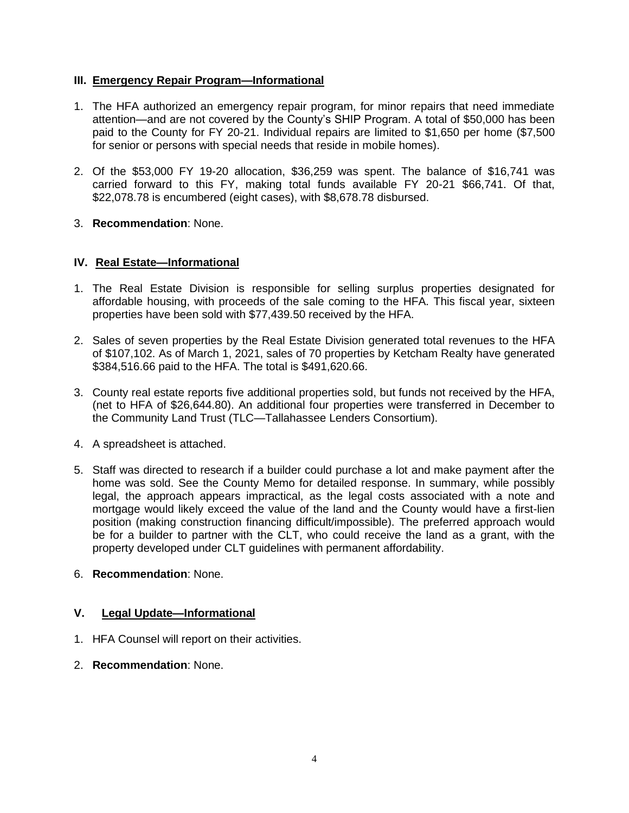## **III. Emergency Repair Program—Informational**

- 1. The HFA authorized an emergency repair program, for minor repairs that need immediate attention—and are not covered by the County's SHIP Program. A total of \$50,000 has been paid to the County for FY 20-21. Individual repairs are limited to \$1,650 per home (\$7,500 for senior or persons with special needs that reside in mobile homes).
- 2. Of the \$53,000 FY 19-20 allocation, \$36,259 was spent. The balance of \$16,741 was carried forward to this FY, making total funds available FY 20-21 \$66,741. Of that, \$22,078.78 is encumbered (eight cases), with \$8,678.78 disbursed.
- 3. **Recommendation**: None.

## **IV. Real Estate—Informational**

- 1. The Real Estate Division is responsible for selling surplus properties designated for affordable housing, with proceeds of the sale coming to the HFA. This fiscal year, sixteen properties have been sold with \$77,439.50 received by the HFA.
- 2. Sales of seven properties by the Real Estate Division generated total revenues to the HFA of \$107,102. As of March 1, 2021, sales of 70 properties by Ketcham Realty have generated \$384,516.66 paid to the HFA. The total is \$491,620.66.
- 3. County real estate reports five additional properties sold, but funds not received by the HFA, (net to HFA of \$26,644.80). An additional four properties were transferred in December to the Community Land Trust (TLC—Tallahassee Lenders Consortium).
- 4. A spreadsheet is attached.
- 5. Staff was directed to research if a builder could purchase a lot and make payment after the home was sold. See the County Memo for detailed response. In summary, while possibly legal, the approach appears impractical, as the legal costs associated with a note and mortgage would likely exceed the value of the land and the County would have a first-lien position (making construction financing difficult/impossible). The preferred approach would be for a builder to partner with the CLT, who could receive the land as a grant, with the property developed under CLT guidelines with permanent affordability.
- 6. **Recommendation**: None.

# **V. Legal Update—Informational**

- 1. HFA Counsel will report on their activities.
- 2. **Recommendation**: None.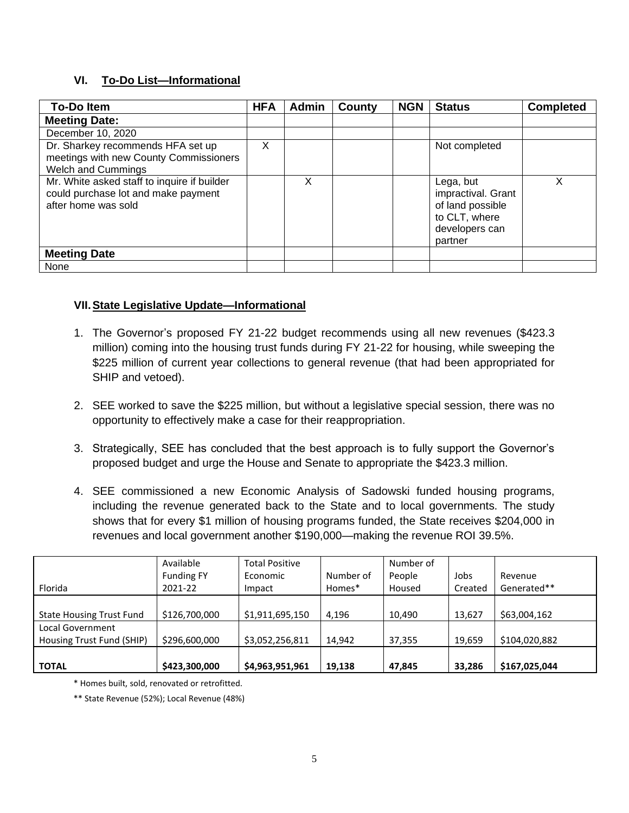# **VI. To-Do List—Informational**

| <b>To-Doltem</b>                                                                                          | <b>HFA</b> | <b>Admin</b> | County | <b>NGN</b> | <b>Status</b>                                                                                     | <b>Completed</b> |
|-----------------------------------------------------------------------------------------------------------|------------|--------------|--------|------------|---------------------------------------------------------------------------------------------------|------------------|
| <b>Meeting Date:</b>                                                                                      |            |              |        |            |                                                                                                   |                  |
| December 10, 2020                                                                                         |            |              |        |            |                                                                                                   |                  |
| Dr. Sharkey recommends HFA set up<br>meetings with new County Commissioners<br><b>Welch and Cummings</b>  | X          |              |        |            | Not completed                                                                                     |                  |
| Mr. White asked staff to inquire if builder<br>could purchase lot and make payment<br>after home was sold |            | X            |        |            | Lega, but<br>impractival. Grant<br>of land possible<br>to CLT, where<br>developers can<br>partner | X                |
| <b>Meeting Date</b>                                                                                       |            |              |        |            |                                                                                                   |                  |
| None                                                                                                      |            |              |        |            |                                                                                                   |                  |

# **VII.State Legislative Update—Informational**

- 1. The Governor's proposed FY 21-22 budget recommends using all new revenues (\$423.3 million) coming into the housing trust funds during FY 21-22 for housing, while sweeping the \$225 million of current year collections to general revenue (that had been appropriated for SHIP and vetoed).
- 2. SEE worked to save the \$225 million, but without a legislative special session, there was no opportunity to effectively make a case for their reappropriation.
- 3. Strategically, SEE has concluded that the best approach is to fully support the Governor's proposed budget and urge the House and Senate to appropriate the \$423.3 million.
- 4. SEE commissioned a new Economic Analysis of Sadowski funded housing programs, including the revenue generated back to the State and to local governments. The study shows that for every \$1 million of housing programs funded, the State receives \$204,000 in revenues and local government another \$190,000—making the revenue ROI 39.5%.

|                                 | Available         | <b>Total Positive</b> |           | Number of |         |               |
|---------------------------------|-------------------|-----------------------|-----------|-----------|---------|---------------|
|                                 | <b>Funding FY</b> | Economic              | Number of | People    | Jobs    | Revenue       |
| Florida                         | 2021-22           | Impact                | Homes*    | Housed    | Created | Generated**   |
|                                 |                   |                       |           |           |         |               |
| <b>State Housing Trust Fund</b> | \$126,700,000     | \$1,911,695,150       | 4.196     | 10,490    | 13,627  | \$63,004,162  |
| Local Government                |                   |                       |           |           |         |               |
| Housing Trust Fund (SHIP)       | \$296,600,000     | \$3,052,256,811       | 14.942    | 37,355    | 19,659  | \$104,020,882 |
|                                 |                   |                       |           |           |         |               |
| <b>TOTAL</b>                    | \$423,300,000     | \$4,963,951,961       | 19,138    | 47,845    | 33,286  | \$167,025,044 |

\* Homes built, sold, renovated or retrofitted.

\*\* State Revenue (52%); Local Revenue (48%)